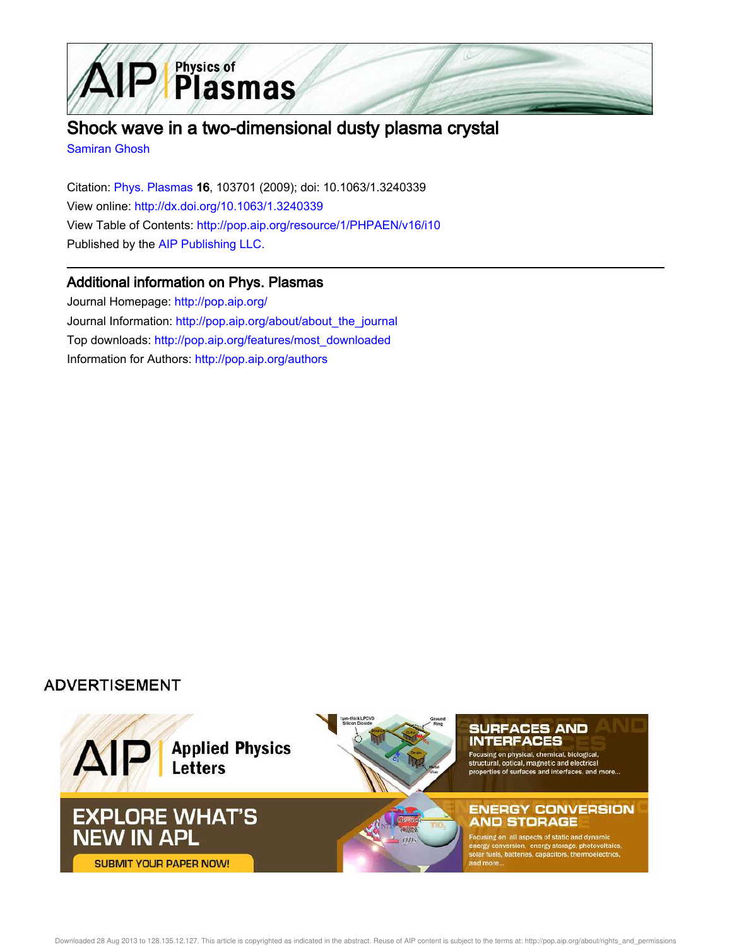

# Shock wave in a two-dimensional dusty plasma crystal

Samiran Ghosh

Citation: Phys. Plasmas 16, 103701 (2009); doi: 10.1063/1.3240339 View online: http://dx.doi.org/10.1063/1.3240339 View Table of Contents: http://pop.aip.org/resource/1/PHPAEN/v16/i10 Published by the AIP Publishing LLC.

## Additional information on Phys. Plasmas

Journal Homepage: http://pop.aip.org/ Journal Information: http://pop.aip.org/about/about\_the\_journal Top downloads: http://pop.aip.org/features/most\_downloaded Information for Authors: http://pop.aip.org/authors

# **ADVERTISEMENT**

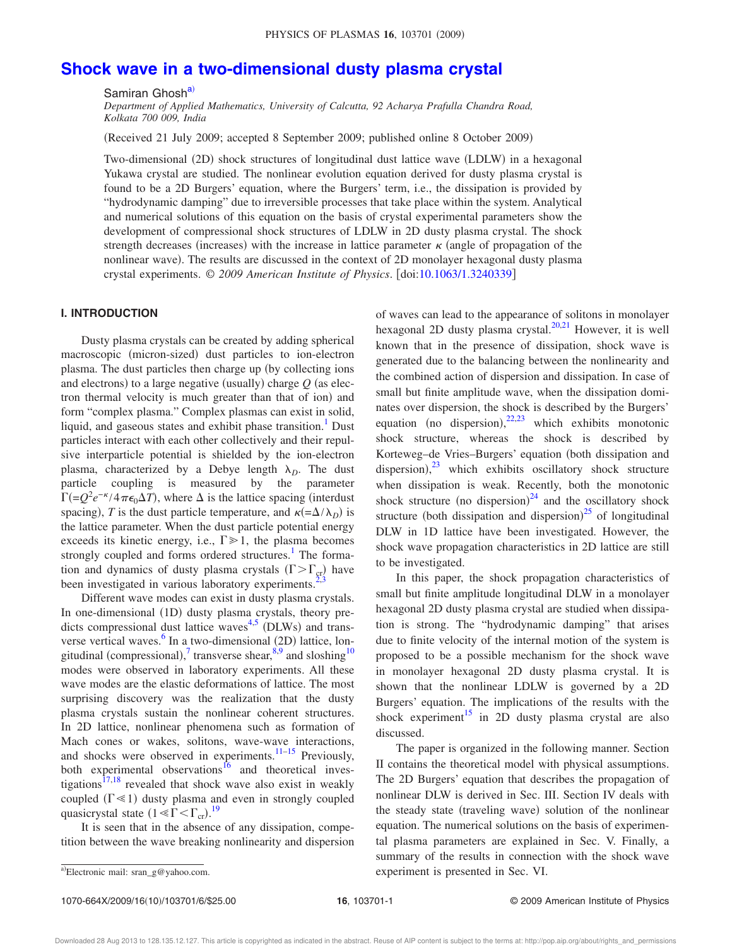# **Shock wave in a two-dimensional dusty plasma crystal**

Samiran Ghosh<sup>a)</sup>

*Department of Applied Mathematics, University of Calcutta, 92 Acharya Prafulla Chandra Road, Kolkata 700 009, India*

Received 21 July 2009; accepted 8 September 2009; published online 8 October 2009-

Two-dimensional (2D) shock structures of longitudinal dust lattice wave (LDLW) in a hexagonal Yukawa crystal are studied. The nonlinear evolution equation derived for dusty plasma crystal is found to be a 2D Burgers' equation, where the Burgers' term, i.e., the dissipation is provided by "hydrodynamic damping" due to irreversible processes that take place within the system. Analytical and numerical solutions of this equation on the basis of crystal experimental parameters show the development of compressional shock structures of LDLW in 2D dusty plasma crystal. The shock strength decreases (increases) with the increase in lattice parameter  $\kappa$  (angle of propagation of the nonlinear wave). The results are discussed in the context of 2D monolayer hexagonal dusty plasma crystal experiments. © *2009 American Institute of Physics*. doi:10.1063/1.3240339

#### **I. INTRODUCTION**

Dusty plasma crystals can be created by adding spherical macroscopic (micron-sized) dust particles to ion-electron plasma. The dust particles then charge up (by collecting ions and electrons) to a large negative (usually) charge  $Q$  (as electron thermal velocity is much greater than that of ion) and form "complex plasma." Complex plasmas can exist in solid, liquid, and gaseous states and exhibit phase transition.<sup>1</sup> Dust particles interact with each other collectively and their repulsive interparticle potential is shielded by the ion-electron plasma, characterized by a Debye length  $\lambda_D$ . The dust particle coupling is measured by the parameter  $\Gamma$ (=Q<sup>2</sup>e<sup>-k</sup>/4 $\pi\epsilon_0\Delta T$ ), where  $\Delta$  is the lattice spacing (interdust spacing), *T* is the dust particle temperature, and  $\kappa (= \Delta/\lambda_D)$  is the lattice parameter. When the dust particle potential energy exceeds its kinetic energy, i.e.,  $\Gamma \gg 1$ , the plasma becomes strongly coupled and forms ordered structures.<sup>1</sup> The formation and dynamics of dusty plasma crystals ( $\Gamma > \Gamma_{\rm cr}$ ) have been investigated in various laboratory experiments.<sup>2</sup>

Different wave modes can exist in dusty plasma crystals. In one-dimensional (1D) dusty plasma crystals, theory predicts compressional dust lattice waves<sup>4,5</sup> (DLWs) and transverse vertical waves.<sup>6</sup> In a two-dimensional (2D) lattice, longitudinal (compressional),<sup>7</sup> transverse shear,<sup>8,9</sup> and sloshing<sup>10</sup> modes were observed in laboratory experiments. All these wave modes are the elastic deformations of lattice. The most surprising discovery was the realization that the dusty plasma crystals sustain the nonlinear coherent structures. In 2D lattice, nonlinear phenomena such as formation of Mach cones or wakes, solitons, wave-wave interactions, and shocks were observed in experiments. $11-15$  Previously, both experimental observations $^{16}$  and theoretical investigations<sup>17,18</sup> revealed that shock wave also exist in weakly coupled  $(\Gamma \ll 1)$  dusty plasma and even in strongly coupled quasicrystal state  $(1 \leq \bar{\Gamma} \leq \Gamma_{cr})$ .<sup>19</sup>

It is seen that in the absence of any dissipation, competition between the wave breaking nonlinearity and dispersion of waves can lead to the appearance of solitons in monolayer hexagonal 2D dusty plasma crystal. $^{20,21}$  However, it is well known that in the presence of dissipation, shock wave is generated due to the balancing between the nonlinearity and the combined action of dispersion and dissipation. In case of small but finite amplitude wave, when the dissipation dominates over dispersion, the shock is described by the Burgers' equation (no dispersion),  $22,23$  which exhibits monotonic shock structure, whereas the shock is described by Korteweg-de Vries-Burgers' equation (both dissipation and dispersion),<sup>23</sup> which exhibits oscillatory shock structure when dissipation is weak. Recently, both the monotonic shock structure (no dispersion) $^{24}$  and the oscillatory shock structure (both dissipation and dispersion) $^{25}$  of longitudinal DLW in 1D lattice have been investigated. However, the shock wave propagation characteristics in 2D lattice are still to be investigated.

In this paper, the shock propagation characteristics of small but finite amplitude longitudinal DLW in a monolayer hexagonal 2D dusty plasma crystal are studied when dissipation is strong. The "hydrodynamic damping" that arises due to finite velocity of the internal motion of the system is proposed to be a possible mechanism for the shock wave in monolayer hexagonal 2D dusty plasma crystal. It is shown that the nonlinear LDLW is governed by a 2D Burgers' equation. The implications of the results with the shock experiment<sup>15</sup> in 2D dusty plasma crystal are also discussed.

The paper is organized in the following manner. Section II contains the theoretical model with physical assumptions. The 2D Burgers' equation that describes the propagation of nonlinear DLW is derived in Sec. III. Section IV deals with the steady state (traveling wave) solution of the nonlinear equation. The numerical solutions on the basis of experimental plasma parameters are explained in Sec. V. Finally, a summary of the results in connection with the shock wave experiment is presented in Sec. VI.

1070-664X/2009/16(10)/103701/6/\$25.00

Electronic mail: sran\_g@yahoo.com.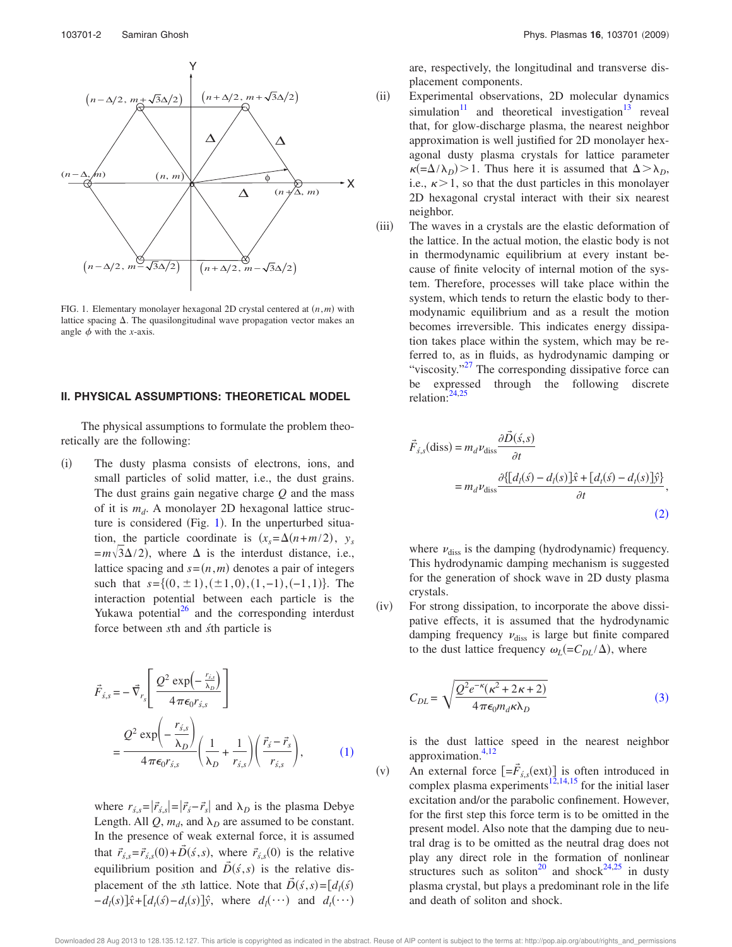

FIG. 1. Elementary monolayer hexagonal 2D crystal centered at  $(n,m)$  with lattice spacing  $\Delta$ . The quasilongitudinal wave propagation vector makes an angle  $\phi$  with the *x*-axis.

#### **II. PHYSICAL ASSUMPTIONS: THEORETICAL MODEL**

The physical assumptions to formulate the problem theoretically are the following:

 $(i)$  The dusty plasma consists of electrons, ions, and small particles of solid matter, i.e., the dust grains. The dust grains gain negative charge *Q* and the mass of it is *m<sup>d</sup>* . A monolayer 2D hexagonal lattice structure is considered (Fig. 1). In the unperturbed situation, the particle coordinate is  $(x_s = \Delta(n + m/2))$ ,  $y_s$  $=m\sqrt{3}\Delta/2$ , where  $\Delta$  is the interdust distance, i.e., lattice spacing and  $s = (n, m)$  denotes a pair of integers such that  $s = \{(0, \pm 1), (\pm 1, 0), (1, -1), (-1, 1)\}$ . The interaction potential between each particle is the Yukawa potential $^{26}$  and the corresponding interdust force between *s*th and *s´*th particle is

$$
\vec{F}_{\vec{s},s} = -\vec{\nabla}_{r_s} \left[ \frac{Q^2 \exp\left(-\frac{r_{\vec{s},s}}{\lambda_D}\right)}{4\pi\epsilon_0 r_{\vec{s},s}} \right]
$$
\n
$$
= \frac{Q^2 \exp\left(-\frac{r_{\vec{s},s}}{\lambda_D}\right)}{4\pi\epsilon_0 r_{\vec{s},s}} \left(\frac{1}{\lambda_D} + \frac{1}{r_{\vec{s},s}}\right) \left(\frac{\vec{r}_{\vec{s}} - \vec{r}_{s}}{r_{\vec{s},s}}\right), \tag{1}
$$

where  $r_{\hat{s},s} = |\vec{r}_{\hat{s},s}| = |\vec{r}_{\hat{s}} - \vec{r}_{s}|$  and  $\lambda_D$  is the plasma Debye Length. All  $Q$ ,  $m_d$ , and  $\lambda_D$  are assumed to be constant. In the presence of weak external force, it is assumed that  $\vec{r}_{s,s} = \vec{r}_{s,s}(0) + \vec{D}(s, s)$ , where  $\vec{r}_{s,s}(0)$  is the relative equilibrium position and  $\vec{D}(\vec{s},s)$  is the relative displacement of the *s*th lattice. Note that  $\vec{D}(\vec{s}, s) = [d_i(\vec{s})]$  $-d_l(s)\hat{x} + [d_l(s) - d_l(s)]\hat{y}$ , where  $d_l(\cdots)$  and  $d_l(\cdots)$ 

are, respectively, the longitudinal and transverse displacement components.

- $(ii)$  Experimental observations, 2D molecular dynamics simulation<sup>11</sup> and theoretical investigation<sup>13</sup> reveal that, for glow-discharge plasma, the nearest neighbor approximation is well justified for 2D monolayer hexagonal dusty plasma crystals for lattice parameter  $\kappa = \Delta/\lambda_D$ ) > 1. Thus here it is assumed that  $\Delta > \lambda_D$ , i.e.,  $\kappa > 1$ , so that the dust particles in this monolayer 2D hexagonal crystal interact with their six nearest neighbor.
- $(iii)$  The waves in a crystals are the elastic deformation of the lattice. In the actual motion, the elastic body is not in thermodynamic equilibrium at every instant because of finite velocity of internal motion of the system. Therefore, processes will take place within the system, which tends to return the elastic body to thermodynamic equilibrium and as a result the motion becomes irreversible. This indicates energy dissipation takes place within the system, which may be referred to, as in fluids, as hydrodynamic damping or "viscosity."<sup>27</sup> The corresponding dissipative force can be expressed through the following discrete relation:24,25

$$
\vec{F}_{s,s}(\text{diss}) = m_d \nu_{\text{diss}} \frac{\partial \vec{D}(s,s)}{\partial t}
$$
\n
$$
= m_d \nu_{\text{diss}} \frac{\partial \{[d_l(s) - d_l(s)]\hat{x} + [d_l(s) - d_l(s)]\hat{y}\}}{\partial t},
$$
\n(2)

where  $\nu_{\text{diss}}$  is the damping (hydrodynamic) frequency. This hydrodynamic damping mechanism is suggested for the generation of shock wave in 2D dusty plasma crystals.

 $(iv)$  For strong dissipation, to incorporate the above dissipative effects, it is assumed that the hydrodynamic damping frequency  $v_{\text{diss}}$  is large but finite compared to the dust lattice frequency  $\omega_L (= C_{DL}/\Delta)$ , where

$$
C_{DL} = \sqrt{\frac{Q^2 e^{-\kappa} (\kappa^2 + 2\kappa + 2)}{4\pi \epsilon_0 m_d \kappa \lambda_D}}
$$
(3)

is the dust lattice speed in the nearest neighbor approximation. $4,12$ 

 $(v)$ An external force  $\left[=\vec{F}_{s,s}(\text{ext})\right]$  is often introduced in complex plasma experiments $^{12,14,15}$  for the initial laser excitation and/or the parabolic confinement. However, for the first step this force term is to be omitted in the present model. Also note that the damping due to neutral drag is to be omitted as the neutral drag does not play any direct role in the formation of nonlinear structures such as soliton<sup>20</sup> and shock<sup>24,25</sup> in dusty plasma crystal, but plays a predominant role in the life and death of soliton and shock.

Downloaded 28 Aug 2013 to 128.135.12.127. This article is copyrighted as indicated in the abstract. Reuse of AIP content is subject to the terms at: http://pop.aip.org/about/rights\_and\_permissions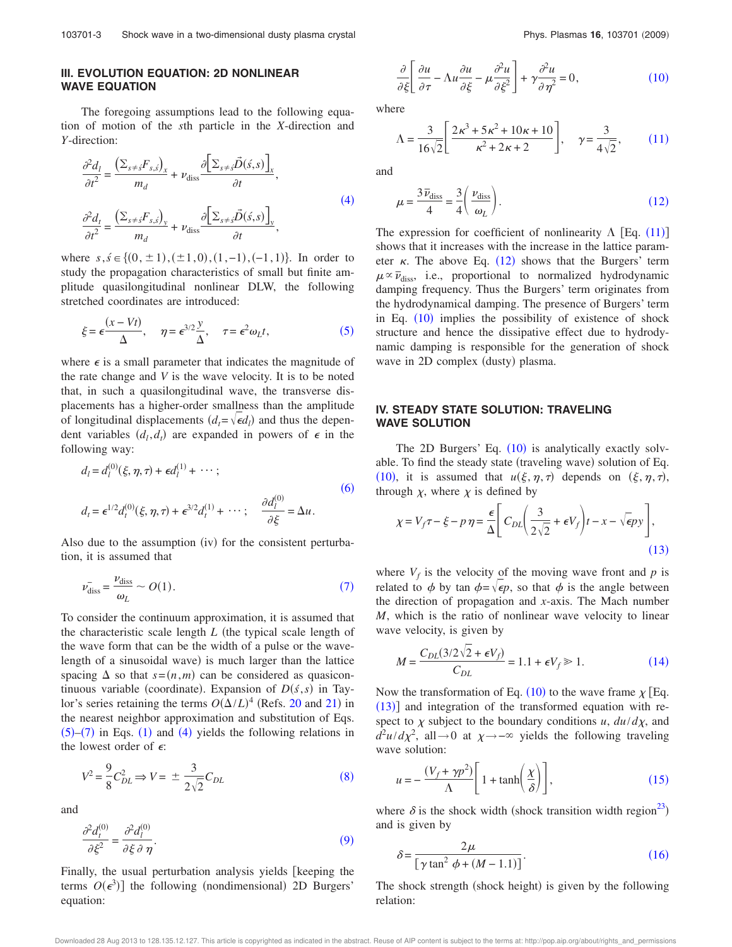### **III. EVOLUTION EQUATION: 2D NONLINEAR WAVE EQUATION**

The foregoing assumptions lead to the following equation of motion of the *s*th particle in the *X*-direction and *Y*-direction:

$$
\frac{\partial^2 d_l}{\partial t^2} = \frac{\left(\sum_{s \neq s} F_{s,\hat{s}}\right)_x}{m_d} + \nu_{\text{diss}} \frac{\partial \left[\sum_{s \neq s} \vec{D}(\hat{s}, s)\right]_x}{\partial t},
$$
\n
$$
\frac{\partial^2 d_t}{\partial t^2} = \frac{\left(\sum_{s \neq s} F_{s,\hat{s}}\right)_y}{m_d} + \nu_{\text{diss}} \frac{\partial \left[\sum_{s \neq s} \vec{D}(\hat{s}, s)\right]_y}{\partial t},
$$
\n(4)

where  $s, \, \acute{s} \in \{(0, \pm 1), (\pm 1, 0), (1, -1), (-1, 1)\}$ . In order to study the propagation characteristics of small but finite amplitude quasilongitudinal nonlinear DLW, the following stretched coordinates are introduced:

$$
\xi = \epsilon \frac{(x - Vt)}{\Delta}, \quad \eta = \epsilon^{3/2} \frac{y}{\Delta}, \quad \tau = \epsilon^2 \omega_L t,\tag{5}
$$

where  $\epsilon$  is a small parameter that indicates the magnitude of the rate change and *V* is the wave velocity. It is to be noted that, in such a quasilongitudinal wave, the transverse displacements has a higher-order smallness than the amplitude of longitudinal displacements  $(d_t = \sqrt{\epsilon}d_t)$  and thus the dependent variables  $(d_l, d_l)$  are expanded in powers of  $\epsilon$  in the following way:

$$
d_l = d_l^{(0)}(\xi, \eta, \tau) + \epsilon d_l^{(1)} + \cdots; d_l = \epsilon^{1/2} d_l^{(0)}(\xi, \eta, \tau) + \epsilon^{3/2} d_l^{(1)} + \cdots; \quad \frac{\partial d_l^{(0)}}{\partial \xi} = \Delta u.
$$
 (6)

Also due to the assumption (iv) for the consistent perturbation, it is assumed that

$$
\bar{\nu_{\text{diss}}} = \frac{\nu_{\text{diss}}}{\omega_L} \sim O(1). \tag{7}
$$

To consider the continuum approximation, it is assumed that the characteristic scale length  $L$  (the typical scale length of the wave form that can be the width of a pulse or the wavelength of a sinusoidal wave) is much larger than the lattice spacing  $\Delta$  so that  $s=(n,m)$  can be considered as quasicontinuous variable (coordinate). Expansion of  $D(s, s)$  in Taylor's series retaining the terms  $O(\Delta/L)^4$  (Refs. 20 and 21) in the nearest neighbor approximation and substitution of Eqs.  $(5)$ – $(7)$  in Eqs.  $(1)$  and  $(4)$  yields the following relations in the lowest order of  $\epsilon$ :

$$
V^2 = \frac{9}{8} C_{DL}^2 \Rightarrow V = \pm \frac{3}{2\sqrt{2}} C_{DL}
$$
 (8)

and

$$
\frac{\partial^2 d_t^{(0)}}{\partial \xi^2} = \frac{\partial^2 d_l^{(0)}}{\partial \xi \partial \eta}.
$$
\n(9)

Finally, the usual perturbation analysis yields [keeping the terms  $O(\epsilon^3)$ ] the following (nondimensional) 2D Burgers' equation:

$$
\frac{\partial}{\partial \xi} \left[ \frac{\partial u}{\partial \tau} - \Lambda u \frac{\partial u}{\partial \xi} - \mu \frac{\partial^2 u}{\partial \xi^2} \right] + \gamma \frac{\partial^2 u}{\partial \eta^2} = 0, \tag{10}
$$

where

$$
\Lambda = \frac{3}{16\sqrt{2}} \left[ \frac{2\kappa^3 + 5\kappa^2 + 10\kappa + 10}{\kappa^2 + 2\kappa + 2} \right], \quad \gamma = \frac{3}{4\sqrt{2}}, \tag{11}
$$

and

$$
\mu = \frac{3\,\overline{\nu}_{\text{diss}}}{4} = \frac{3}{4} \left( \frac{\nu_{\text{diss}}}{\omega_L} \right). \tag{12}
$$

The expression for coefficient of nonlinearity  $\Lambda$  [Eq. (11)] shows that it increases with the increase in the lattice parameter  $\kappa$ . The above Eq. (12) shows that the Burgers' term  $\mu \propto \bar{\nu}_{\text{diss}}$ , i.e., proportional to normalized hydrodynamic damping frequency. Thus the Burgers' term originates from the hydrodynamical damping. The presence of Burgers' term in Eq.  $(10)$  implies the possibility of existence of shock structure and hence the dissipative effect due to hydrodynamic damping is responsible for the generation of shock wave in 2D complex (dusty) plasma.

#### **IV. STEADY STATE SOLUTION: TRAVELING WAVE SOLUTION**

The 2D Burgers' Eq.  $(10)$  is analytically exactly solvable. To find the steady state (traveling wave) solution of Eq. (10), it is assumed that  $u(\xi, \eta, \tau)$  depends on  $(\xi, \eta, \tau)$ , through  $\chi$ , where  $\chi$  is defined by

$$
\chi = V_f \tau - \xi - p \eta = \frac{\epsilon}{\Delta} \left[ C_{DL} \left( \frac{3}{2\sqrt{2}} + \epsilon V_f \right) t - x - \sqrt{\epsilon} p y \right],
$$
\n(13)

where  $V_f$  is the velocity of the moving wave front and  $p$  is related to  $\phi$  by tan  $\phi = \sqrt{\epsilon p}$ , so that  $\phi$  is the angle between the direction of propagation and *x*-axis. The Mach number *M*, which is the ratio of nonlinear wave velocity to linear wave velocity, is given by

$$
M = \frac{C_{DL}(3/2\sqrt{2} + \epsilon V_f)}{C_{DL}} = 1.1 + \epsilon V_f \gg 1.
$$
 (14)

Now the transformation of Eq. (10) to the wave frame  $\chi$  [Eq.  $(13)$ ] and integration of the transformed equation with respect to  $\chi$  subject to the boundary conditions *u*,  $du/d\chi$ , and  $d^2u/d\chi^2$ , all→0 at  $\chi \rightarrow -\infty$  yields the following traveling wave solution:

$$
u = -\frac{(V_f + \gamma p^2)}{\Lambda} \left[ 1 + \tanh\left(\frac{\chi}{\delta}\right) \right],\tag{15}
$$

where  $\delta$  is the shock width (shock transition width region<sup>23</sup>) and is given by

$$
\delta = \frac{2\mu}{\left[\gamma \tan^2 \phi + (M - 1.1)\right]}.
$$
\n(16)

The shock strength (shock height) is given by the following relation:

Downloaded 28 Aug 2013 to 128.135.12.127. This article is copyrighted as indicated in the abstract. Reuse of AIP content is subject to the terms at: http://pop.aip.org/about/rights\_and\_permissions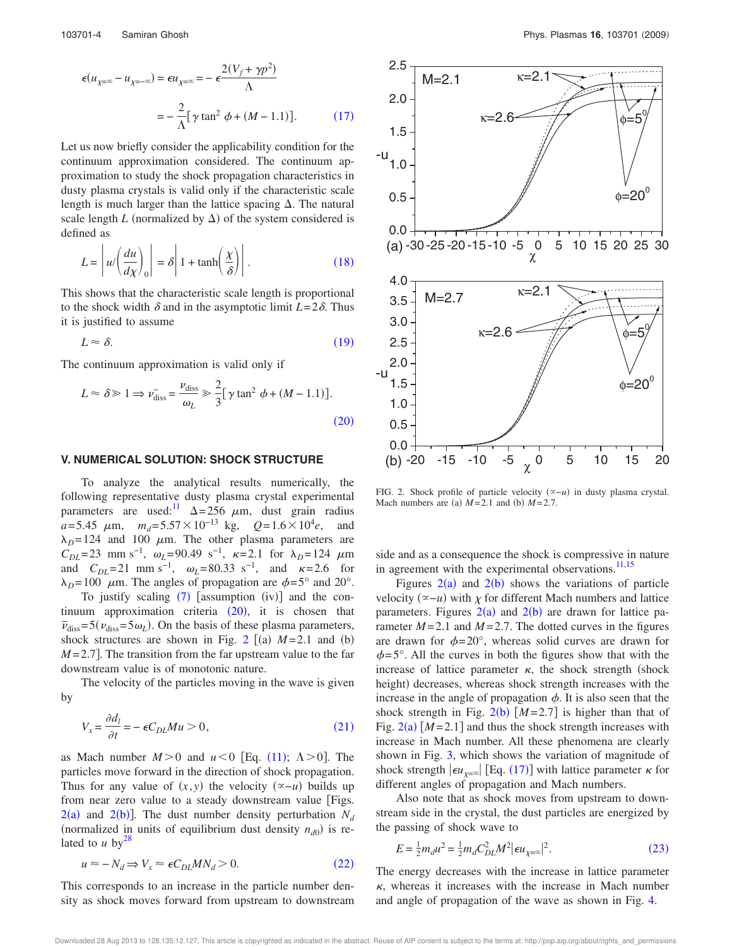$$
\epsilon(u_{\chi=\infty} - u_{\chi=\infty}) = \epsilon u_{\chi=\infty} = -\epsilon \frac{2(V_f + \gamma p^2)}{\Lambda}
$$

$$
= -\frac{2}{\Lambda} [\gamma \tan^2 \phi + (M - 1.1)]. \tag{17}
$$

Let us now briefly consider the applicability condition for the continuum approximation considered. The continuum approximation to study the shock propagation characteristics in dusty plasma crystals is valid only if the characteristic scale length is much larger than the lattice spacing  $\Delta$ . The natural scale length *L* (normalized by  $\Delta$ ) of the system considered is defined as

$$
L = \left| u / \left( \frac{du}{d\chi} \right)_0 \right| = \delta \left| 1 + \tanh \left( \frac{\chi}{\delta} \right) \right|.
$$
 (18)

This shows that the characteristic scale length is proportional to the shock width  $\delta$  and in the asymptotic limit  $L=2\delta$ . Thus it is justified to assume

$$
L \approx \delta. \tag{19}
$$

The continuum approximation is valid only if

$$
L \approx \delta \gg 1 \Rightarrow \bar{\nu_{\text{diss}}} = \frac{\nu_{\text{diss}}}{\omega_L} \gg \frac{2}{3} [\gamma \tan^2 \phi + (M - 1.1)].
$$
\n(20)

#### **V. NUMERICAL SOLUTION: SHOCK STRUCTURE**

To analyze the analytical results numerically, the following representative dusty plasma crystal experimental parameters are used:<sup>11</sup>  $\Delta = 256 \mu m$ , dust grain radius  $a = 5.45 \mu m$ ,  $m_d = 5.57 \times 10^{-13}$  kg,  $Q = 1.6 \times 10^4 e$ , and  $\lambda_D = 124$  and 100  $\mu$ m. The other plasma parameters are  $C_{DL}$ =23 mm s<sup>-1</sup>,  $\omega_L$ =90.49 s<sup>-1</sup>,  $\kappa$ =2.1 for  $\lambda_D$ =124  $\mu$ m and  $C_{DL}$ =21 mm s<sup>-1</sup>,  $\omega_L$ =80.33 s<sup>-1</sup>, and  $\kappa$ =2.6 for  $\lambda_D = 100 \mu$ m. The angles of propagation are  $\phi = 5^{\circ}$  and 20°.

To justify scaling  $(7)$  [assumption  $(iv)$ ] and the con $t$ inuum approximation criteria  $(20)$ , it is chosen that  $\bar{\nu}_{diss} = 5(\nu_{diss} = 5\omega_L)$ . On the basis of these plasma parameters, shock structures are shown in Fig. 2  $[(a)$   $M=2.1$  and  $(b)$  $M = 2.7$ . The transition from the far upstream value to the far downstream value is of monotonic nature.

The velocity of the particles moving in the wave is given by

$$
V_x = \frac{\partial d_l}{\partial t} = -\epsilon C_{DL} M u > 0,
$$
\n(21)

as Mach number  $M > 0$  and  $u < 0$  [Eq. (11);  $\Lambda > 0$ ]. The particles move forward in the direction of shock propagation. Thus for any value of  $(x, y)$  the velocity  $({\infty}-u)$  builds up from near zero value to a steady downstream value [Figs.  $2(a)$  and  $2(b)$ ]. The dust number density perturbation  $N_d$ (normalized in units of equilibrium dust density  $n_{d0}$ ) is related to  $u$  by<sup>28</sup>

$$
u \approx -N_d \Rightarrow V_x \approx \epsilon C_{DL} M N_d > 0. \tag{22}
$$

This corresponds to an increase in the particle number density as shock moves forward from upstream to downstream



FIG. 2. Shock profile of particle velocity ( $\propto -u$ ) in dusty plasma crystal. Mach numbers are (a)  $M=2.1$  and (b)  $M=2.7$ .

side and as a consequence the shock is compressive in nature in agreement with the experimental observations. $11,15$ 

Figures  $2(a)$  and  $2(b)$  shows the variations of particle velocity  $(\infty - u)$  with  $\chi$  for different Mach numbers and lattice parameters. Figures  $2(a)$  and  $2(b)$  are drawn for lattice parameter  $M = 2.1$  and  $M = 2.7$ . The dotted curves in the figures are drawn for  $\phi = 20^{\circ}$ , whereas solid curves are drawn for  $\phi = 5^{\circ}$ . All the curves in both the figures show that with the increase of lattice parameter  $\kappa$ , the shock strength (shock height) decreases, whereas shock strength increases with the increase in the angle of propagation  $\phi$ . It is also seen that the shock strength in Fig.  $2(b)$   $[M=2.7]$  is higher than that of Fig.  $2(a)$   $[M=2.1]$  and thus the shock strength increases with increase in Mach number. All these phenomena are clearly shown in Fig. 3, which shows the variation of magnitude of shock strength  $|\epsilon u_{\chi=\infty}|$  [Eq. (17)] with lattice parameter  $\kappa$  for different angles of propagation and Mach numbers.

Also note that as shock moves from upstream to downstream side in the crystal, the dust particles are energized by the passing of shock wave to

$$
E = \frac{1}{2}m_d u^2 = \frac{1}{2}m_d C_{DL}^2 M^2 |\epsilon u_{\chi=\infty}|^2.
$$
 (23)

The energy decreases with the increase in lattice parameter  $\kappa$ , whereas it increases with the increase in Mach number and angle of propagation of the wave as shown in Fig. 4.

Downloaded 28 Aug 2013 to 128.135.12.127. This article is copyrighted as indicated in the abstract. Reuse of AIP content is subject to the terms at: http://pop.aip.org/about/rights\_and\_permissions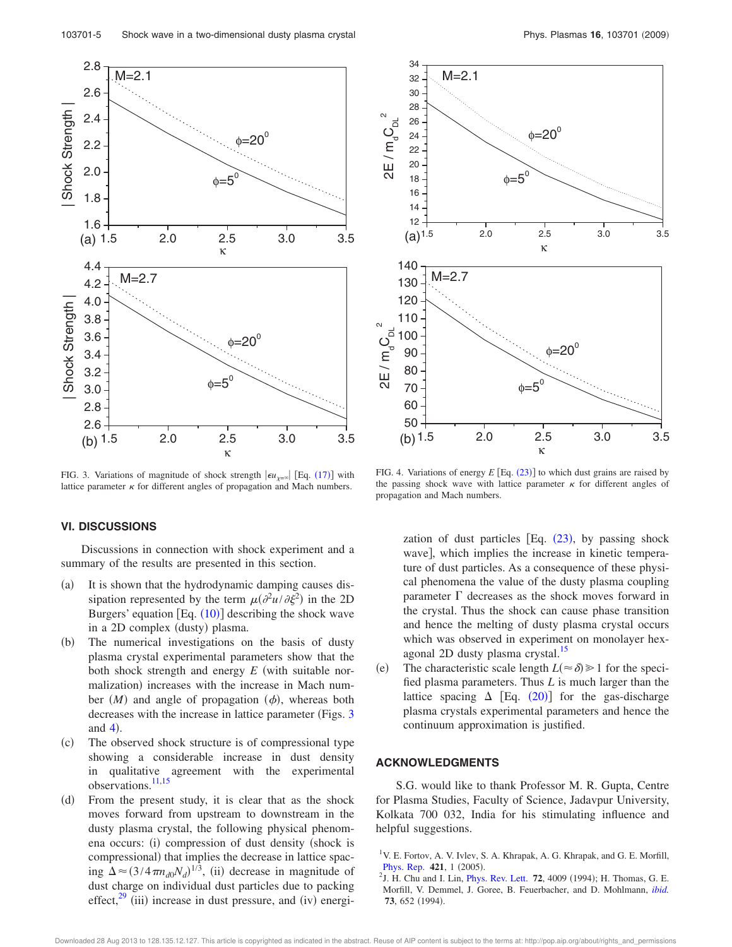

FIG. 3. Variations of magnitude of shock strength  $|\epsilon u_{\chi=\infty}|$  [Eq. (17)] with lattice parameter  $\kappa$  for different angles of propagation and Mach numbers.



FIG. 4. Variations of energy  $E$  [Eq.  $(23)$ ] to which dust grains are raised by the passing shock wave with lattice parameter  $\kappa$  for different angles of propagation and Mach numbers.

### **VI. DISCUSSIONS**

Discussions in connection with shock experiment and a summary of the results are presented in this section.

- $(a)$  It is shown that the hydrodynamic damping causes dissipation represented by the term  $\mu(\partial^2 u/\partial \xi^2)$  in the 2D Burgers' equation  $[Eq. (10)]$  describing the shock wave in a 2D complex (dusty) plasma.
- $(b)$  The numerical investigations on the basis of dusty plasma crystal experimental parameters show that the both shock strength and energy  $E$  (with suitable normalization) increases with the increase in Mach number  $(M)$  and angle of propagation  $(\phi)$ , whereas both decreases with the increase in lattice parameter (Figs. 3) and  $4$ ).
- $(c)$  The observed shock structure is of compressional type showing a considerable increase in dust density in qualitative agreement with the experimental observations.<sup>11,15</sup>
- $(d)$  From the present study, it is clear that as the shock moves forward from upstream to downstream in the dusty plasma crystal, the following physical phenomena occurs: (i) compression of dust density (shock is compressional) that implies the decrease in lattice spacing  $\Delta \approx (3/4 \pi n_{d0} N_d)^{1/3}$ , (ii) decrease in magnitude of dust charge on individual dust particles due to packing effect, $29$  (iii) increase in dust pressure, and (iv) energi-

zation of dust particles  $[Eq. (23), by passing shock$ wave], which implies the increase in kinetic temperature of dust particles. As a consequence of these physical phenomena the value of the dusty plasma coupling parameter  $\Gamma$  decreases as the shock moves forward in the crystal. Thus the shock can cause phase transition and hence the melting of dusty plasma crystal occurs which was observed in experiment on monolayer hexagonal 2D dusty plasma crystal.<sup>15</sup>

 $(e)$ The characteristic scale length  $L(\approx \delta) \ge 1$  for the specified plasma parameters. Thus *L* is much larger than the lattice spacing  $\Delta$  [Eq. (20)] for the gas-discharge plasma crystals experimental parameters and hence the continuum approximation is justified.

### **ACKNOWLEDGMENTS**

S.G. would like to thank Professor M. R. Gupta, Centre for Plasma Studies, Faculty of Science, Jadavpur University, Kolkata 700 032, India for his stimulating influence and helpful suggestions.

<sup>&</sup>lt;sup>1</sup>V. E. Fortov, A. V. Ivlev, S. A. Khrapak, A. G. Khrapak, and G. E. Morfill, Phys. Rep. 421, 1 (2005).

 $^{2}$ J. H. Chu and I. Lin, *Phys. Rev. Lett.* **72**, 4009 (1994); H. Thomas, G. E. Morfill, V. Demmel, J. Goree, B. Feuerbacher, and D. Mohlmann, *ibid.* 73, 652 (1994).